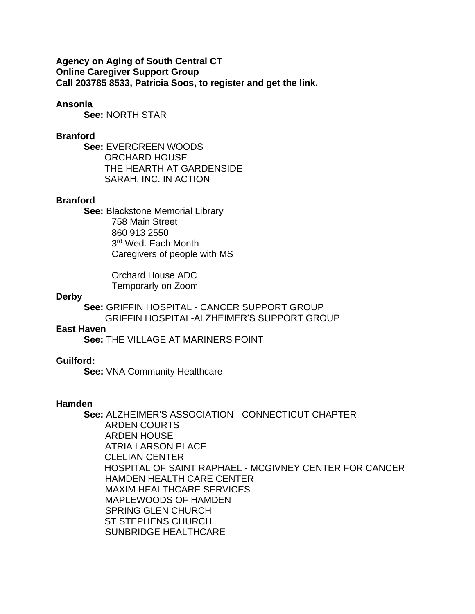**Agency on Aging of South Central CT Online Caregiver Support Group Call 203785 8533, Patricia Soos, to register and get the link.**

# **Ansonia**

**See:** NORTH STAR

# **Branford**

**See:** EVERGREEN WOODS ORCHARD HOUSE THE HEARTH AT GARDENSIDE SARAH, INC. IN ACTION

# **Branford**

**See:** Blackstone Memorial Library 758 Main Street 860 913 2550 3<sup>rd</sup> Wed. Each Month Caregivers of people with MS

> Orchard House ADC Temporarly on Zoom

### **Derby**

**See:** GRIFFIN HOSPITAL - CANCER SUPPORT GROUP GRIFFIN HOSPITAL-ALZHEIMER'S SUPPORT GROUP

# **East Haven**

**See:** THE VILLAGE AT MARINERS POINT

# **Guilford:**

**See:** VNA Community Healthcare

### **Hamden**

**See:** ALZHEIMER'S ASSOCIATION - CONNECTICUT CHAPTER ARDEN COURTS ARDEN HOUSE ATRIA LARSON PLACE CLELIAN CENTER HOSPITAL OF SAINT RAPHAEL - MCGIVNEY CENTER FOR CANCER HAMDEN HEALTH CARE CENTER MAXIM HEALTHCARE SERVICES MAPLEWOODS OF HAMDEN SPRING GLEN CHURCH ST STEPHENS CHURCH SUNBRIDGE HEALTHCARE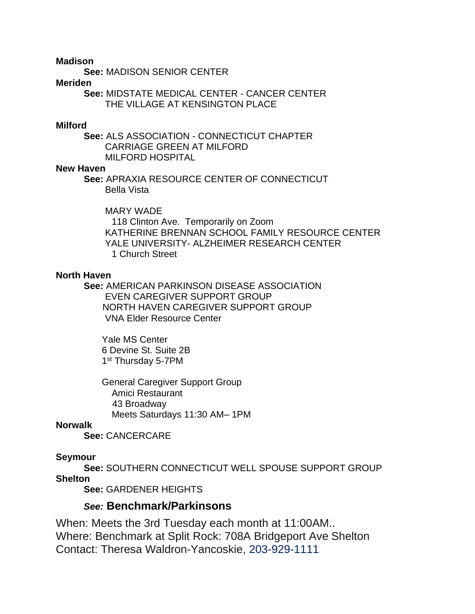**Madison**

**See:** MADISON SENIOR CENTER

# **Meriden**

**See:** MIDSTATE MEDICAL CENTER - CANCER CENTER THE VILLAGE AT KENSINGTON PLACE

# **Milford**

**See:** ALS ASSOCIATION - CONNECTICUT CHAPTER CARRIAGE GREEN AT MILFORD MILFORD HOSPITAL

# **New Haven**

**See:** APRAXIA RESOURCE CENTER OF CONNECTICUT Bella Vista

 MARY WADE 118 Clinton Ave. Temporarily on Zoom KATHERINE BRENNAN SCHOOL FAMILY RESOURCE CENTER YALE UNIVERSITY- ALZHEIMER RESEARCH CENTER 1 Church Street

# **North Haven**

**See:** AMERICAN PARKINSON DISEASE ASSOCIATION EVEN CAREGIVER SUPPORT GROUP NORTH HAVEN CAREGIVER SUPPORT GROUP VNA Elder Resource Center

 Yale MS Center 6 Devine St. Suite 2B 1<sup>st</sup> Thursday 5-7PM

> General Caregiver Support Group Amici Restaurant 43 Broadway Meets Saturdays 11:30 AM– 1PM

# **Norwalk**

**See:** CANCERCARE

# **Seymour**

**See:** SOUTHERN CONNECTICUT WELL SPOUSE SUPPORT GROUP **Shelton**

**See:** GARDENER HEIGHTS

# *See:* **Benchmark/Parkinsons**

When: Meets the 3rd Tuesday each month at 11:00AM.. Where: Benchmark at Split Rock: 708A Bridgeport Ave Shelton Contact: Theresa Waldron-Yancoskie, [203-929-1111](tel:203-929-1111)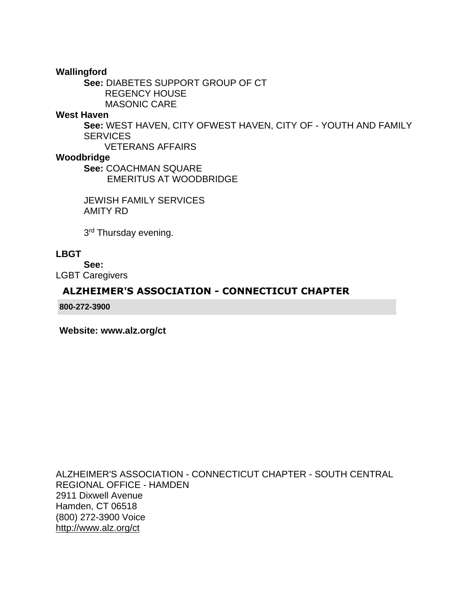**Wallingford**

**See:** DIABETES SUPPORT GROUP OF CT REGENCY HOUSE MASONIC CARE

# **West Haven**

**See:** WEST HAVEN, CITY OFWEST HAVEN, CITY OF - YOUTH AND FAMILY **SERVICES** 

VETERANS AFFAIRS

# **Woodbridge**

**See:** COACHMAN SQUARE EMERITUS AT WOODBRIDGE

JEWISH FAMILY SERVICES AMITY RD

3<sup>rd</sup> Thursday evening.

# **LBGT**

**See:**

LGBT Caregivers

# **[ALZHEIMER'S ASSOCIATION -](http://www.icarol.info/resourceview2.aspx?First=1&country=United%20States&sp=CT&county=-1&city=-1&org=2385&agencynum=17269549) CONNECTICUT CHAPTER**

**800-272-3900**

**[Website: www.alz.org/ct](http://www.alz.org/ct)**

ALZHEIMER'S ASSOCIATION - CONNECTICUT CHAPTER - SOUTH CENTRAL REGIONAL OFFICE - HAMDEN 2911 Dixwell Avenue Hamden, CT 06518 (800) 272-3900 Voice <http://www.alz.org/ct>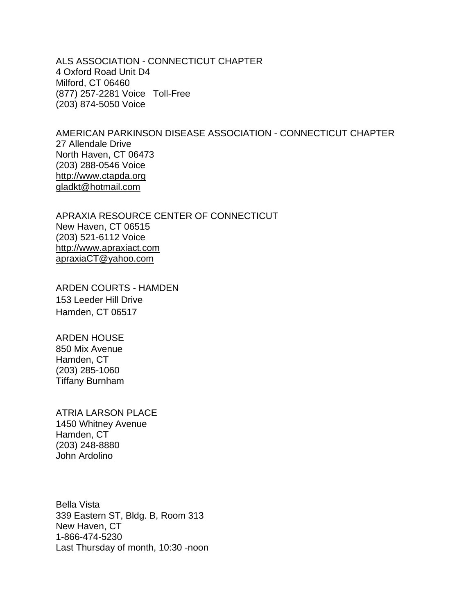ALS ASSOCIATION - CONNECTICUT CHAPTER 4 Oxford Road Unit D4 Milford, CT 06460 (877) 257-2281 Voice Toll-Free (203) 874-5050 Voice

AMERICAN PARKINSON DISEASE ASSOCIATION - CONNECTICUT CHAPTER 27 Allendale Drive North Haven, CT 06473 (203) 288-0546 Voice [http://www.ctapda.org](http://www.ctapda.org/) [gladkt@hotmail.com](mailto:gladkt@hotmail.com)

APRAXIA RESOURCE CENTER OF CONNECTICUT New Haven, CT 06515 (203) 521-6112 Voice [http://www.apraxiact.com](http://www.apraxiact.com/) [apraxiaCT@yahoo.com](mailto:apraxiaCT@yahoo.com)

ARDEN COURTS - HAMDEN 153 Leeder Hill Drive Hamden, CT 06517

ARDEN HOUSE 850 Mix Avenue Hamden, CT (203) 285-1060 Tiffany Burnham

ATRIA LARSON PLACE 1450 Whitney Avenue Hamden, CT (203) 248-8880 John Ardolino

Bella Vista 339 Eastern ST, Bldg. B, Room 313 New Haven, CT 1-866-474-5230 Last Thursday of month, 10:30 -noon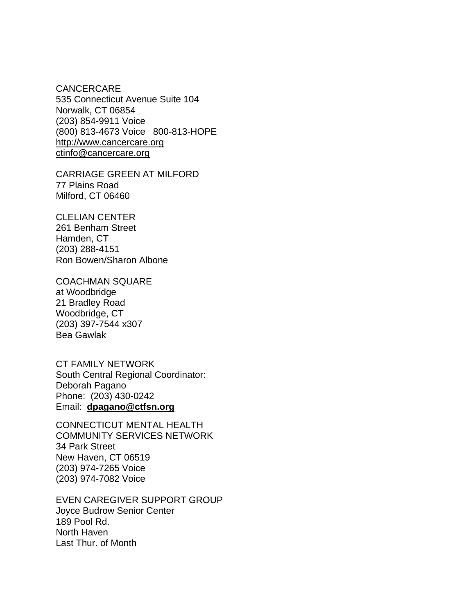CANCERCARE 535 Connecticut Avenue Suite 104 Norwalk, CT 06854 (203) 854-9911 Voice (800) 813-4673 Voice 800-813-HOPE [http://www.cancercare.org](http://www.cancercare.org/) [ctinfo@cancercare.org](mailto:ctinfo@cancercare.org)

CARRIAGE GREEN AT MILFORD 77 Plains Road Milford, CT 06460

CLELIAN CENTER 261 Benham Street Hamden, CT (203) 288-4151 Ron Bowen/Sharon Albone

COACHMAN SQUARE at Woodbridge 21 Bradley Road Woodbridge, CT (203) 397-7544 x307 Bea Gawlak

CT FAMILY NETWORK South Central Regional Coordinator: Deborah Pagano Phone: (203) 430-0242 Email: **[dpagano@ctfsn.org](mailto:dpagano@ctfsn.org)**

CONNECTICUT MENTAL HEALTH COMMUNITY SERVICES NETWORK 34 Park Street New Haven, CT 06519 (203) 974-7265 Voice (203) 974-7082 Voice

EVEN CAREGIVER SUPPORT GROUP Joyce Budrow Senior Center 189 Pool Rd. North Haven Last Thur. of Month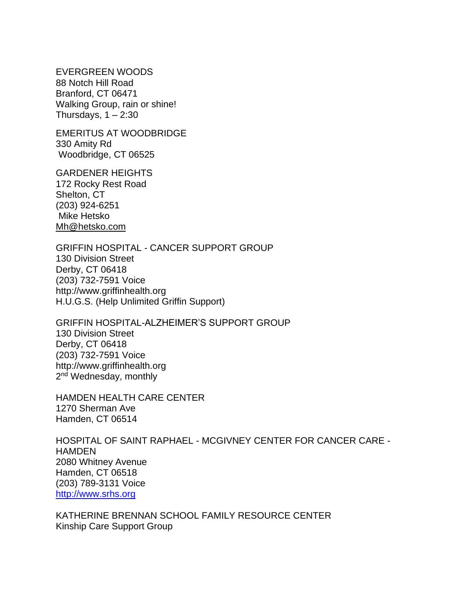EVERGREEN WOODS 88 Notch Hill Road Branford, CT 06471 Walking Group, rain or shine! Thursdays,  $1 - 2:30$ 

EMERITUS AT WOODBRIDGE 330 Amity Rd Woodbridge, CT 06525

GARDENER HEIGHTS 172 Rocky Rest Road Shelton, CT (203) 924-6251 Mike Hetsko [Mh@hetsko.com](mailto:Mh@hetsko.com)

GRIFFIN HOSPITAL - CANCER SUPPORT GROUP 130 Division Street Derby, CT 06418 (203) 732-7591 Voice http://www.griffinhealth.org H.U.G.S. (Help Unlimited Griffin Support)

GRIFFIN HOSPITAL-ALZHEIMER'S SUPPORT GROUP 130 Division Street Derby, CT 06418 (203) 732-7591 Voice http://www.griffinhealth.org 2<sup>nd</sup> Wednesday, monthly

HAMDEN HEALTH CARE CENTER 1270 Sherman Ave Hamden, CT 06514

HOSPITAL OF SAINT RAPHAEL - MCGIVNEY CENTER FOR CANCER CARE - HAMDEN 2080 Whitney Avenue Hamden, CT 06518 (203) 789-3131 Voice [http://www.srhs.org](http://www.srhs.org/)

KATHERINE BRENNAN SCHOOL FAMILY RESOURCE CENTER Kinship Care Support Group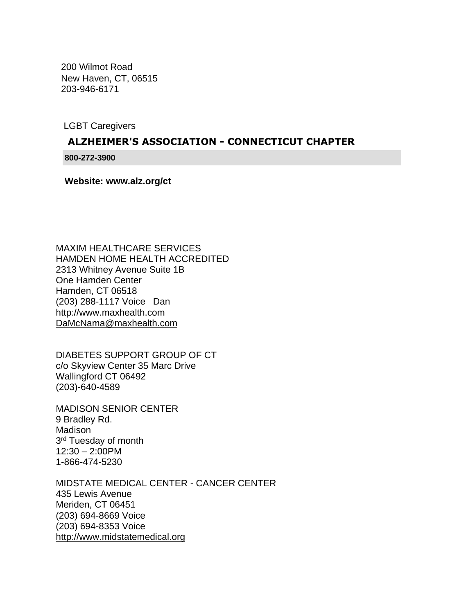200 Wilmot Road New Haven, CT, 06515 203-946-6171

LGBT Caregivers

# **[ALZHEIMER'S ASSOCIATION -](http://www.icarol.info/resourceview2.aspx?First=1&country=United%20States&sp=CT&county=-1&city=-1&org=2385&agencynum=17269549) CONNECTICUT CHAPTER**

**800-272-3900**

**[Website: www.alz.org/ct](http://www.alz.org/ct)**

MAXIM HEALTHCARE SERVICES HAMDEN HOME HEALTH ACCREDITED 2313 Whitney Avenue Suite 1B One Hamden Center Hamden, CT 06518 (203) 288-1117 Voice Dan [http://www.maxhealth.com](http://www.maxhealth.com/) [DaMcNama@maxhealth.com](mailto:DaMcNama@maxhealth.com)

DIABETES SUPPORT GROUP OF CT c/o Skyview Center 35 Marc Drive Wallingford CT 06492 (203)-640-4589

MADISON SENIOR CENTER 9 Bradley Rd. Madison 3<sup>rd</sup> Tuesday of month 12:30 – 2:00PM 1-866-474-5230

MIDSTATE MEDICAL CENTER - CANCER CENTER 435 Lewis Avenue Meriden, CT 06451 (203) 694-8669 Voice (203) 694-8353 Voice [http://www.midstatemedical.org](http://www.midstatemedical.org/)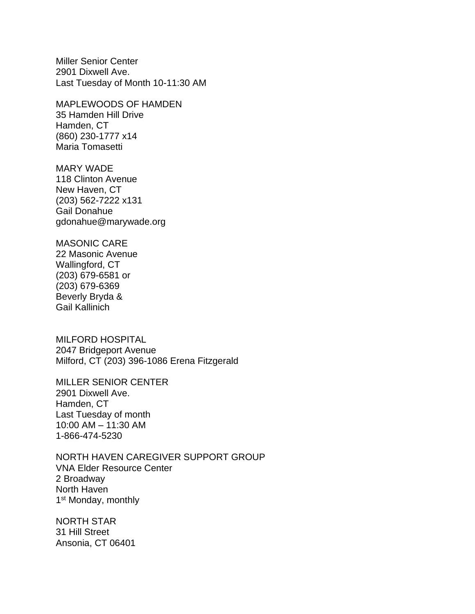Miller Senior Center 2901 Dixwell Ave. Last Tuesday of Month 10-11:30 AM

MAPLEWOODS OF HAMDEN 35 Hamden Hill Drive Hamden, CT (860) 230-1777 x14 Maria Tomasetti

MARY WADE 118 Clinton Avenue New Haven, CT (203) 562-7222 x131 Gail Donahue gdonahue@marywade.org

MASONIC CARE 22 Masonic Avenue Wallingford, CT (203) 679-6581 or

(203) 679-6369 Beverly Bryda & Gail Kallinich

MILFORD HOSPITAL 2047 Bridgeport Avenue Milford, CT (203) 396-1086 Erena Fitzgerald

MILLER SENIOR CENTER 2901 Dixwell Ave. Hamden, CT Last Tuesday of month 10:00 AM – 11:30 AM 1-866-474-5230

NORTH HAVEN CAREGIVER SUPPORT GROUP VNA Elder Resource Center 2 Broadway North Haven 1<sup>st</sup> Monday, monthly

NORTH STAR 31 Hill Street Ansonia, CT 06401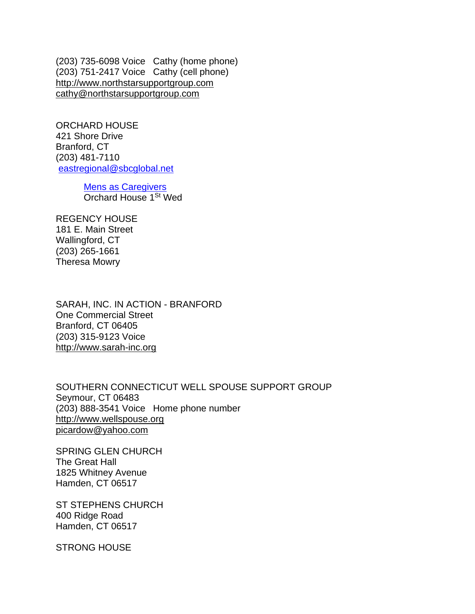(203) 735-6098 Voice Cathy (home phone) (203) 751-2417 Voice Cathy (cell phone) [http://www.northstarsupportgroup.com](http://www.northstarsupportgroup.com/) [cathy@northstarsupportgroup.com](mailto:cathy@northstarsupportgroup.com)

ORCHARD HOUSE 421 Shore Drive Branford, CT (203) 481-7110 [eastregional@sbcglobal.net](mailto:eastregional@sbcglobal.net)

> Mens as Caregivers Orchard House 1<sup>St</sup> Wed

REGENCY HOUSE 181 E. Main Street Wallingford, CT (203) 265-1661 Theresa Mowry

SARAH, INC. IN ACTION - BRANFORD One Commercial Street Branford, CT 06405 (203) 315-9123 Voice [http://www.sarah-inc.org](http://www.sarah-inc.org/)

SOUTHERN CONNECTICUT WELL SPOUSE SUPPORT GROUP Seymour, CT 06483 (203) 888-3541 Voice Home phone number [http://www.wellspouse.org](http://www.wellspouse.org/) [picardow@yahoo.com](mailto:picardow@yahoo.com)

SPRING GLEN CHURCH The Great Hall 1825 Whitney Avenue Hamden, CT 06517

ST STEPHENS CHURCH 400 Ridge Road Hamden, CT 06517

STRONG HOUSE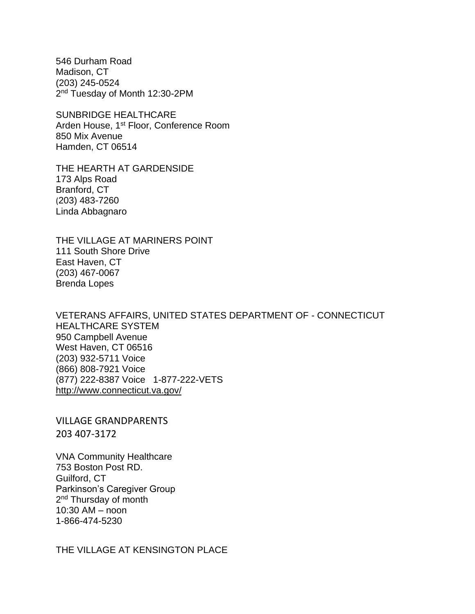546 Durham Road Madison, CT (203) 245-0524 2<sup>nd</sup> Tuesday of Month 12:30-2PM

SUNBRIDGE HEALTHCARE Arden House, 1st Floor, Conference Room 850 Mix Avenue Hamden, CT 06514

THE HEARTH AT GARDENSIDE 173 Alps Road Branford, CT (203) 483-7260 Linda Abbagnaro

THE VILLAGE AT MARINERS POINT 111 South Shore Drive East Haven, CT (203) 467-0067 Brenda Lopes

VETERANS AFFAIRS, UNITED STATES DEPARTMENT OF - CONNECTICUT HEALTHCARE SYSTEM 950 Campbell Avenue West Haven, CT 06516 (203) 932-5711 Voice (866) 808-7921 Voice (877) 222-8387 Voice 1-877-222-VETS <http://www.connecticut.va.gov/>

VILLAGE GRANDPARENTS 203 407-3172

VNA Community Healthcare 753 Boston Post RD. Guilford, CT Parkinson's Caregiver Group 2<sup>nd</sup> Thursday of month 10:30 AM – noon 1-866-474-5230

THE VILLAGE AT KENSINGTON PLACE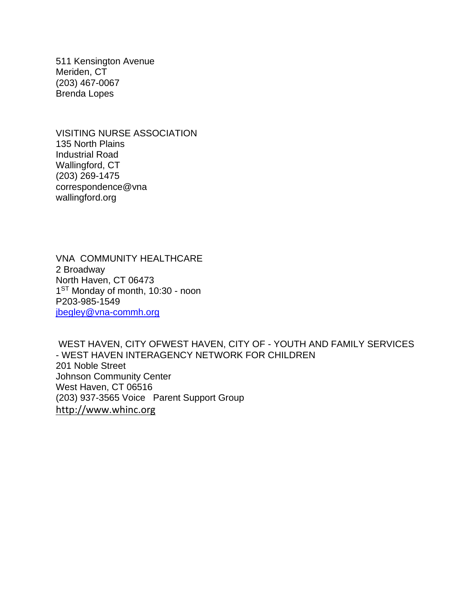511 Kensington Avenue Meriden, CT (203) 467-0067 Brenda Lopes

VISITING NURSE ASSOCIATION 135 North Plains Industrial Road Wallingford, CT (203) 269-1475 correspondence@vna wallingford.org

VNA COMMUNITY HEALTHCARE 2 Broadway North Haven, CT 06473 1<sup>ST</sup> Monday of month, 10:30 - noon P203-985-1549 [jbegley@vna-commh.org](mailto:jbegley@vna-commh.org)

WEST HAVEN, CITY OFWEST HAVEN, CITY OF - YOUTH AND FAMILY SERVICES - WEST HAVEN INTERAGENCY NETWORK FOR CHILDREN 201 Noble Street Johnson Community Center West Haven, CT 06516 (203) 937-3565 Voice Parent Support Group [http://www.whinc.org](http://www.whinc.org/)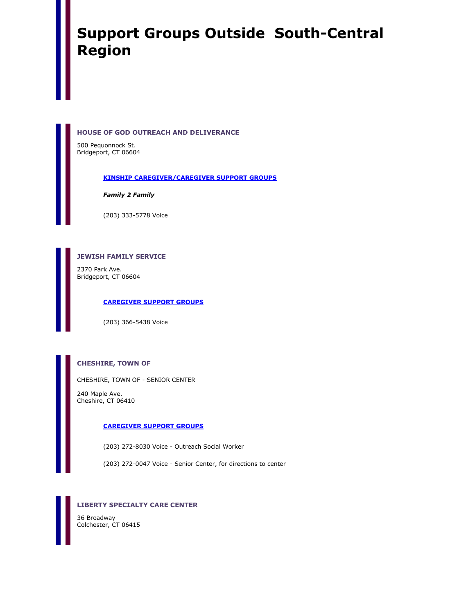# **Support Groups Outside South-Central Region**

### **HOUSE OF GOD OUTREACH AND DELIVERANCE**

500 Pequonnock St. Bridgeport, CT 06604

### **[KINSHIP CAREGIVER/CAREGIVER SUPPORT GROUPS](http://www.infoline.org/referweb/Detail.aspx?k;;0;;;0;727013;22695)**

*Family 2 Family* 

(203) 333-5778 Voice

### **JEWISH FAMILY SERVICE**

2370 Park Ave. Bridgeport, CT 06604

#### **[CAREGIVER SUPPORT GROUPS](http://www.infoline.org/referweb/Detail.aspx?k;;0;;;0;727013;21616)**

(203) 366-5438 Voice

### **CHESHIRE, TOWN OF**

CHESHIRE, TOWN OF - SENIOR CENTER

240 Maple Ave. Cheshire, CT 06410

**[CAREGIVER SUPPORT GROUPS](http://www.infoline.org/referweb/Detail.aspx?k;;0;;;0;727013;21608)**

(203) 272-8030 Voice - Outreach Social Worker

(203) 272-0047 Voice - Senior Center, for directions to center

### **LIBERTY SPECIALTY CARE CENTER**

36 Broadway Colchester, CT 06415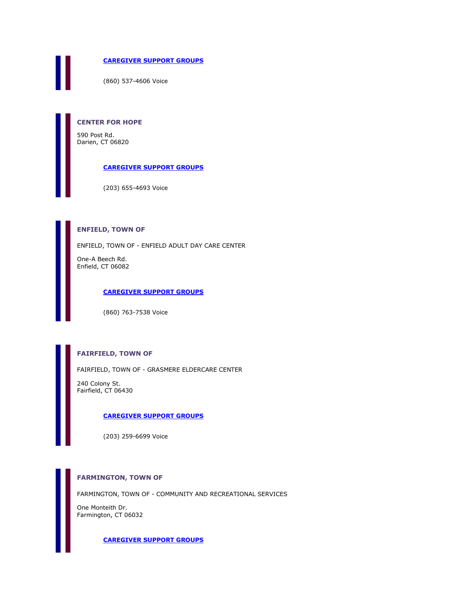**[CAREGIVER SUPPORT GROUPS](http://www.infoline.org/referweb/Detail.aspx?k;;0;;;0;727013;21644)**

(860) 537-4606 Voice

**CENTER FOR HOPE**

590 Post Rd. Darien, CT 06820

**[CAREGIVER SUPPORT GROUPS](http://www.infoline.org/referweb/Detail.aspx?k;;0;;;0;727013;21607)**

(203) 655-4693 Voice

### **ENFIELD, TOWN OF**

ENFIELD, TOWN OF - ENFIELD ADULT DAY CARE CENTER

One-A Beech Rd. Enfield, CT 06082

### **[CAREGIVER SUPPORT GROUPS](http://www.infoline.org/referweb/Detail.aspx?k;;0;;;0;727013;23112)**

(860) 763-7538 Voice

### **FAIRFIELD, TOWN OF**

FAIRFIELD, TOWN OF - GRASMERE ELDERCARE CENTER

240 Colony St. Fairfield, CT 06430

### **[CAREGIVER SUPPORT GROUPS](http://www.infoline.org/referweb/Detail.aspx?k;;0;;;0;727013;40338)**

(203) 259-6699 Voice

### **FARMINGTON, TOWN OF**

FARMINGTON, TOWN OF - COMMUNITY AND RECREATIONAL SERVICES

One Monteith Dr. Farmington, CT 06032

**[CAREGIVER SUPPORT GROUPS](http://www.infoline.org/referweb/Detail.aspx?k;;0;;;0;727013;35278)**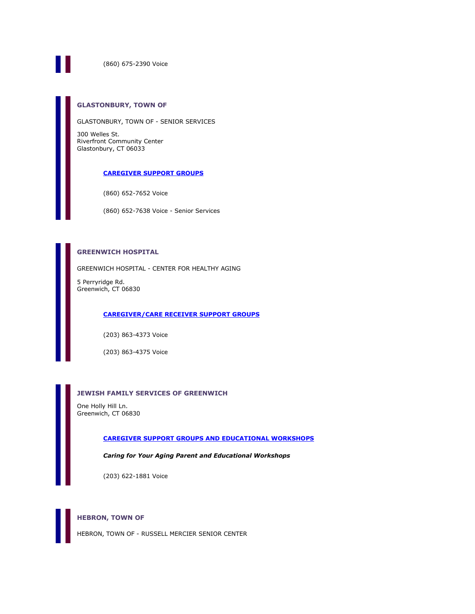

(860) 675-2390 Voice

### **GLASTONBURY, TOWN OF**

GLASTONBURY, TOWN OF - SENIOR SERVICES

300 Welles St. Riverfront Community Center Glastonbury, CT 06033

#### **[CAREGIVER SUPPORT GROUPS](http://www.infoline.org/referweb/Detail.aspx?k;;0;;;0;727013;35279)**

(860) 652-7652 Voice

(860) 652-7638 Voice - Senior Services

### **GREENWICH HOSPITAL**

GREENWICH HOSPITAL - CENTER FOR HEALTHY AGING

5 Perryridge Rd. Greenwich, CT 06830

### **[CAREGIVER/CARE RECEIVER SUPPORT GROUPS](http://www.infoline.org/referweb/Detail.aspx?k;;0;;;0;727013;45825)**

(203) 863-4373 Voice

(203) 863-4375 Voice

### **JEWISH FAMILY SERVICES OF GREENWICH**

One Holly Hill Ln. Greenwich, CT 06830

#### **[CAREGIVER SUPPORT GROUPS AND EDUCATIONAL WORKSHOPS](http://www.infoline.org/referweb/Detail.aspx?k;;0;;;0;727013;48246)**

*Caring for Your Aging Parent and Educational Workshops* 

(203) 622-1881 Voice

### **HEBRON, TOWN OF**

HEBRON, TOWN OF - RUSSELL MERCIER SENIOR CENTER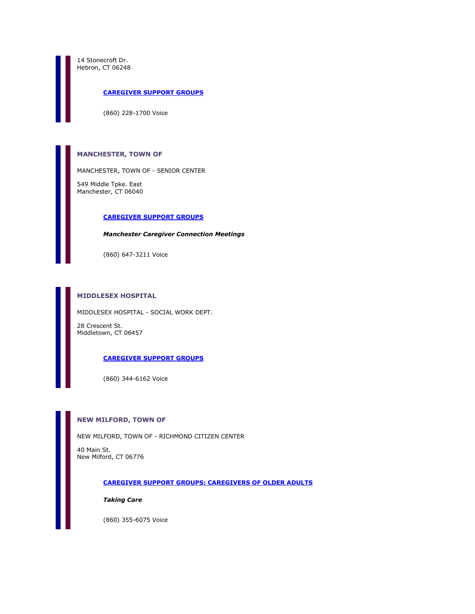14 Stonecroft Dr. Hebron, CT 06248

### **[CAREGIVER SUPPORT GROUPS](http://www.infoline.org/referweb/Detail.aspx?k;;0;;;0;727013;38731)**

(860) 228-1700 Voice

### **MANCHESTER, TOWN OF**

MANCHESTER, TOWN OF - SENIOR CENTER

549 Middle Tpke. East Manchester, CT 06040

#### **[CAREGIVER SUPPORT GROUPS](http://www.infoline.org/referweb/Detail.aspx?k;;0;;;0;727013;24641)**

### *Manchester Caregiver Connection Meetings*

(860) 647-3211 Voice

### **MIDDLESEX HOSPITAL**

MIDDLESEX HOSPITAL - SOCIAL WORK DEPT.

28 Crescent St. Middletown, CT 06457

### **[CAREGIVER SUPPORT GROUPS](http://www.infoline.org/referweb/Detail.aspx?k;;0;;;0;727013;25823)**

(860) 344-6162 Voice

#### **NEW MILFORD, TOWN OF**

NEW MILFORD, TOWN OF - RICHMOND CITIZEN CENTER

40 Main St. New Milford, CT 06776

#### **[CAREGIVER SUPPORT GROUPS: CAREGIVERS OF OLDER ADULTS](http://www.infoline.org/referweb/Detail.aspx?k;;0;;;0;727013;21623)**

*Taking Care* 

(860) 355-6075 Voice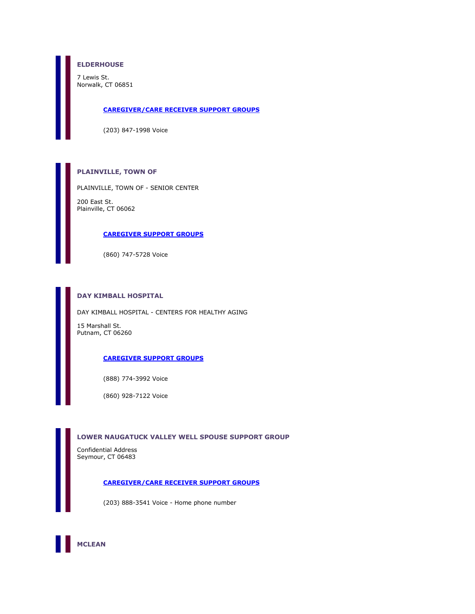### **ELDERHOUSE**

7 Lewis St. Norwalk, CT 06851

#### **[CAREGIVER/CARE RECEIVER SUPPORT GROUPS](http://www.infoline.org/referweb/Detail.aspx?k;;0;;;0;727013;59392)**

(203) 847-1998 Voice

### **PLAINVILLE, TOWN OF**

PLAINVILLE, TOWN OF - SENIOR CENTER

200 East St. Plainville, CT 06062

#### **[CAREGIVER SUPPORT GROUPS](http://www.infoline.org/referweb/Detail.aspx?k;;0;;;0;727013;47328)**

(860) 747-5728 Voice

### **DAY KIMBALL HOSPITAL**

DAY KIMBALL HOSPITAL - CENTERS FOR HEALTHY AGING

15 Marshall St. Putnam, CT 06260

### **[CAREGIVER SUPPORT GROUPS](http://www.infoline.org/referweb/Detail.aspx?k;;0;;;0;727013;39345)**

(888) 774-3992 Voice

(860) 928-7122 Voice

### **LOWER NAUGATUCK VALLEY WELL SPOUSE SUPPORT GROUP**

Confidential Address Seymour, CT 06483

### **[CAREGIVER/CARE RECEIVER SUPPORT GROUPS](http://www.infoline.org/referweb/Detail.aspx?k;;0;;;0;727013;61572)**

(203) 888-3541 Voice - Home phone number

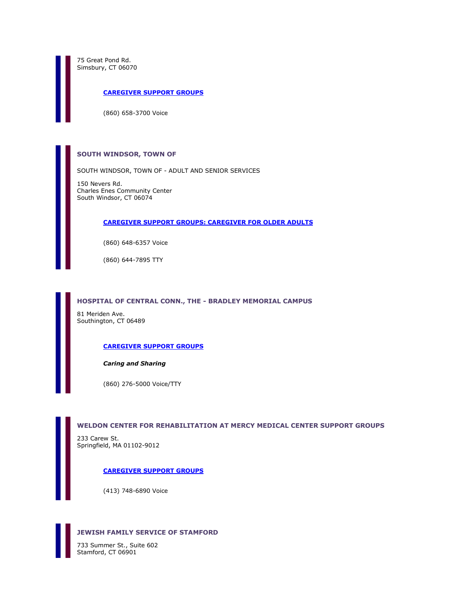75 Great Pond Rd. Simsbury, CT 06070

**[CAREGIVER SUPPORT GROUPS](http://www.infoline.org/referweb/Detail.aspx?k;;0;;;0;727013;21645)**

(860) 658-3700 Voice

### **SOUTH WINDSOR, TOWN OF**

SOUTH WINDSOR, TOWN OF - ADULT AND SENIOR SERVICES

150 Nevers Rd. Charles Enes Community Center South Windsor, CT 06074

### **[CAREGIVER SUPPORT GROUPS: CAREGIVER FOR OLDER ADULTS](http://www.infoline.org/referweb/Detail.aspx?k;;0;;;0;727013;35280)**

(860) 648-6357 Voice

(860) 644-7895 TTY

#### **HOSPITAL OF CENTRAL CONN., THE - BRADLEY MEMORIAL CAMPUS**

81 Meriden Ave. Southington, CT 06489

#### **[CAREGIVER SUPPORT GROUPS](http://www.infoline.org/referweb/Detail.aspx?k;;0;;;0;727013;21606)**

#### *Caring and Sharing*

(860) 276-5000 Voice/TTY

#### **WELDON CENTER FOR REHABILITATION AT MERCY MEDICAL CENTER SUPPORT GROUPS**

233 Carew St. Springfield, MA 01102-9012

#### **[CAREGIVER SUPPORT GROUPS](http://www.infoline.org/referweb/Detail.aspx?k;;0;;;0;727013;54981)**

(413) 748-6890 Voice



733 Summer St., Suite 602 Stamford, CT 06901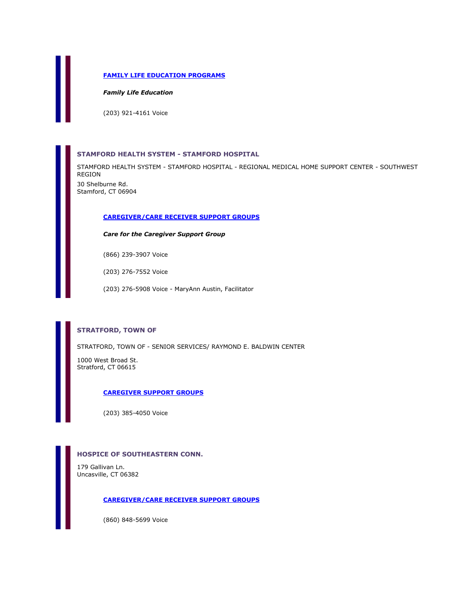### **[FAMILY LIFE EDUCATION PROGRAMS](http://www.infoline.org/referweb/Detail.aspx?k;;0;;;0;727013;66007)**

*Family Life Education* 

(203) 921-4161 Voice

### **STAMFORD HEALTH SYSTEM - STAMFORD HOSPITAL**

STAMFORD HEALTH SYSTEM - STAMFORD HOSPITAL - REGIONAL MEDICAL HOME SUPPORT CENTER - SOUTHWEST REGION 30 Shelburne Rd. Stamford, CT 06904

#### **[CAREGIVER/CARE RECEIVER SUPPORT GROUPS](http://www.infoline.org/referweb/Detail.aspx?k;;0;;;0;727013;64452)**

*Care for the Caregiver Support Group* 

(866) 239-3907 Voice

(203) 276-7552 Voice

(203) 276-5908 Voice - MaryAnn Austin, Facilitator

### **STRATFORD, TOWN OF**

STRATFORD, TOWN OF - SENIOR SERVICES/ RAYMOND E. BALDWIN CENTER

1000 West Broad St. Stratford, CT 06615

### **[CAREGIVER SUPPORT GROUPS](http://www.infoline.org/referweb/Detail.aspx?k;;0;;;0;727013;21630)**

(203) 385-4050 Voice

#### **HOSPICE OF SOUTHEASTERN CONN.**

179 Gallivan Ln. Uncasville, CT 06382

### **[CAREGIVER/CARE RECEIVER SUPPORT GROUPS](http://www.infoline.org/referweb/Detail.aspx?k;;0;;;0;727013;62967)**

(860) 848-5699 Voice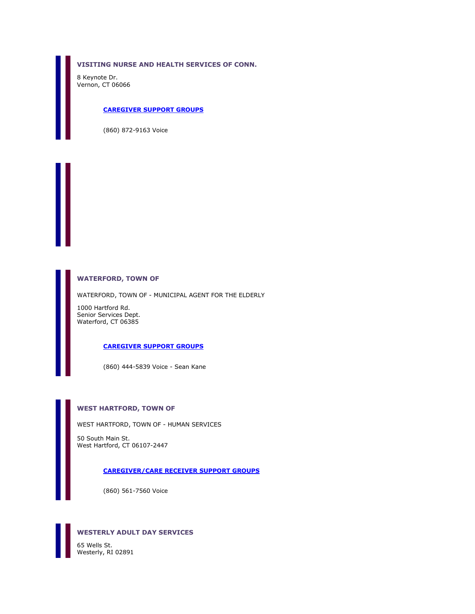**VISITING NURSE AND HEALTH SERVICES OF CONN.**

8 Keynote Dr. Vernon, CT 06066

### **[CAREGIVER SUPPORT GROUPS](http://www.infoline.org/referweb/Detail.aspx?k;;0;;;0;727013;21959)**

(860) 872-9163 Voice

### **WATERFORD, TOWN OF**

WATERFORD, TOWN OF - MUNICIPAL AGENT FOR THE ELDERLY

1000 Hartford Rd. Senior Services Dept. Waterford, CT 06385

### **[CAREGIVER SUPPORT GROUPS](http://www.infoline.org/referweb/Detail.aspx?k;;0;;;0;727013;21632)**

(860) 444-5839 Voice - Sean Kane

### **WEST HARTFORD, TOWN OF**

WEST HARTFORD, TOWN OF - HUMAN SERVICES

50 South Main St. West Hartford, CT 06107-2447

#### **[CAREGIVER/CARE RECEIVER SUPPORT GROUPS](http://www.infoline.org/referweb/Detail.aspx?k;;0;;;0;727013;64288)**

(860) 561-7560 Voice



### **WESTERLY ADULT DAY SERVICES**

Westerly, RI 02891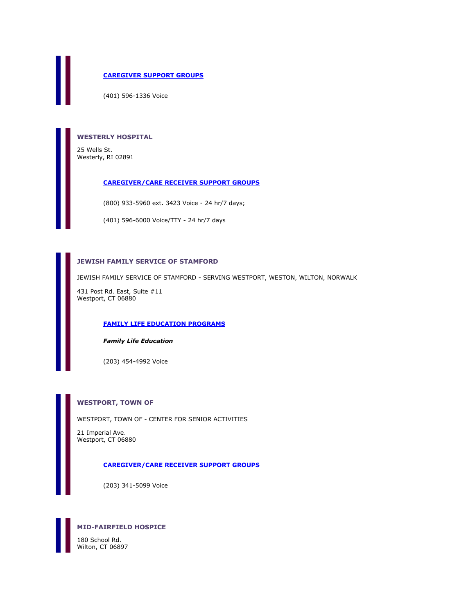### **[CAREGIVER SUPPORT GROUPS](http://www.infoline.org/referweb/Detail.aspx?k;;0;;;0;727013;21648)**

(401) 596-1336 Voice

### **WESTERLY HOSPITAL**

25 Wells St. Westerly, RI 02891

#### **[CAREGIVER/CARE RECEIVER SUPPORT GROUPS](http://www.infoline.org/referweb/Detail.aspx?k;;0;;;0;727013;61681)**

(800) 933-5960 ext. 3423 Voice - 24 hr/7 days;

(401) 596-6000 Voice/TTY - 24 hr/7 days

### **JEWISH FAMILY SERVICE OF STAMFORD**

JEWISH FAMILY SERVICE OF STAMFORD - SERVING WESTPORT, WESTON, WILTON, NORWALK

431 Post Rd. East, Suite #11 Westport, CT 06880

### **[FAMILY LIFE EDUCATION PROGRAMS](http://www.infoline.org/referweb/Detail.aspx?k;;0;;;0;727013;66011)**

### *Family Life Education*

(203) 454-4992 Voice

### **WESTPORT, TOWN OF**

WESTPORT, TOWN OF - CENTER FOR SENIOR ACTIVITIES

21 Imperial Ave. Westport, CT 06880

### **[CAREGIVER/CARE RECEIVER SUPPORT GROUPS](http://www.infoline.org/referweb/Detail.aspx?k;;0;;;0;727013;63210)**

(203) 341-5099 Voice